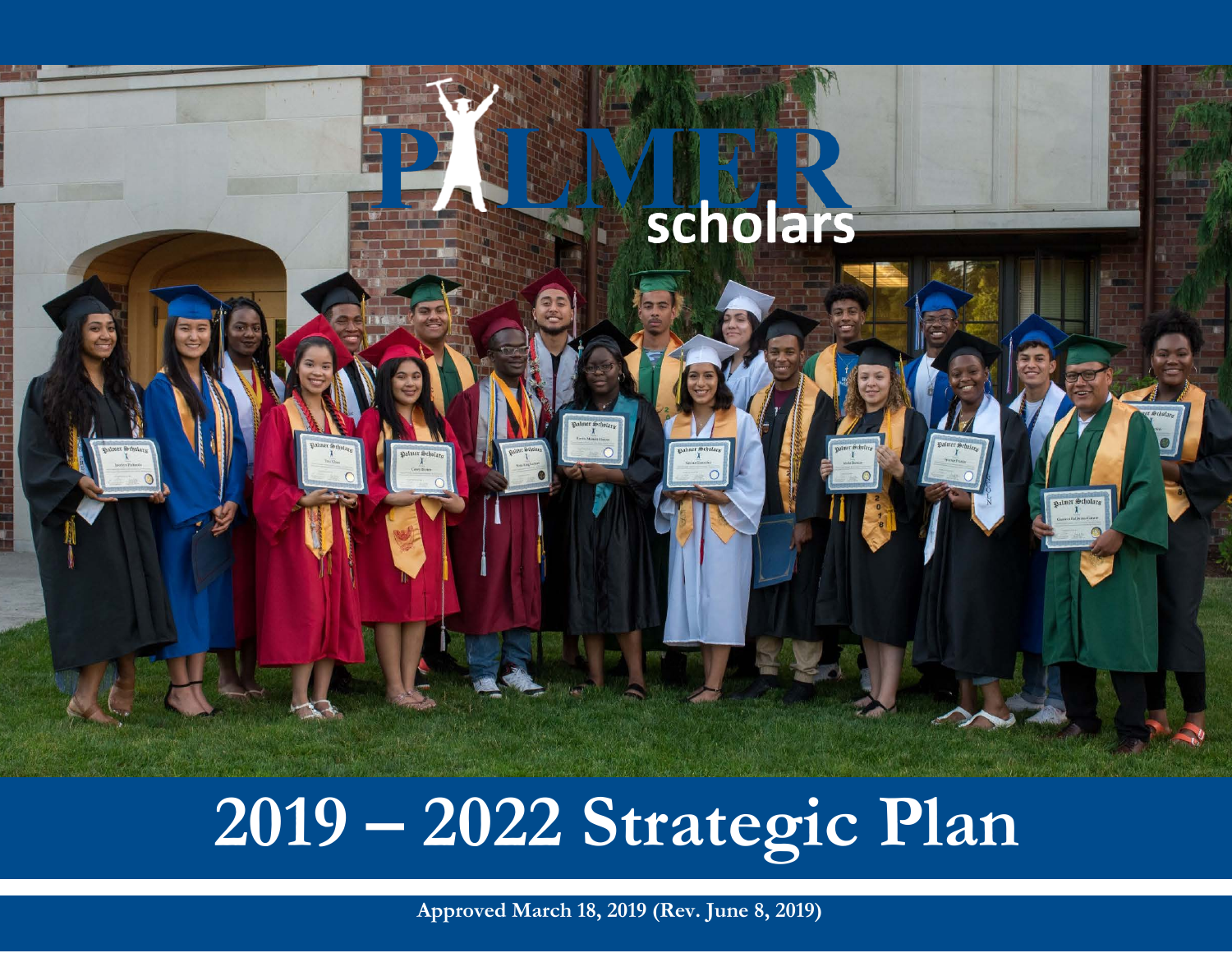

# **2019 – 2022 <sup>2020</sup> – <sup>2022</sup> Strategic Plan Strategic Plan**

**Approved March 18, 2019 (Rev. June 8, 2019)**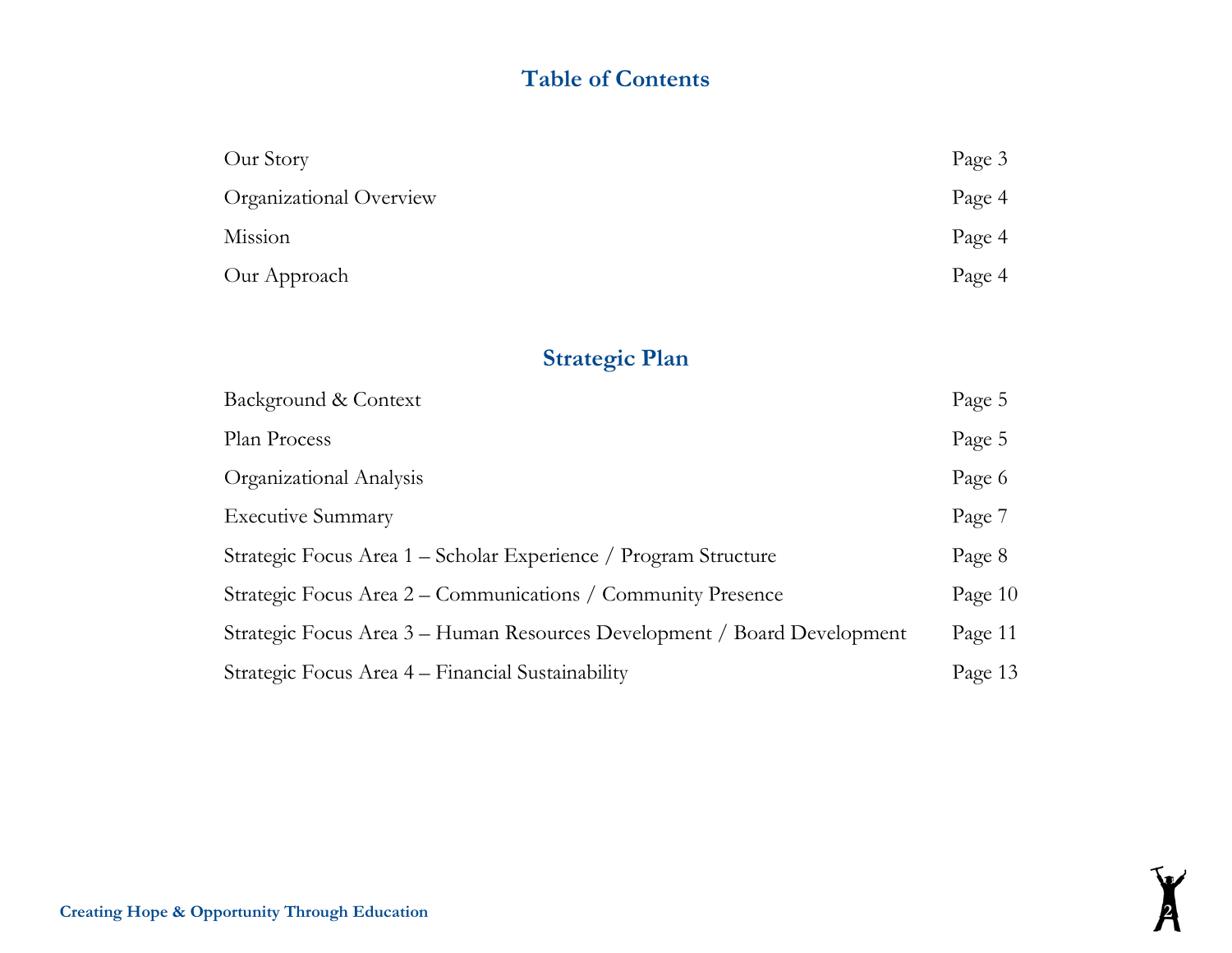# **Table of Contents**

| Our Story               | Page 3 |
|-------------------------|--------|
| Organizational Overview | Page 4 |
| Mission                 | Page 4 |
| Our Approach            | Page 4 |

# **Strategic Plan**

| Background & Context                                                     | Page 5  |
|--------------------------------------------------------------------------|---------|
| Plan Process                                                             | Page 5  |
| Organizational Analysis                                                  | Page 6  |
| <b>Executive Summary</b>                                                 | Page 7  |
| Strategic Focus Area 1 – Scholar Experience / Program Structure          | Page 8  |
| Strategic Focus Area 2 – Communications / Community Presence             | Page 10 |
| Strategic Focus Area 3 – Human Resources Development / Board Development | Page 11 |
| Strategic Focus Area 4 – Financial Sustainability                        | Page 13 |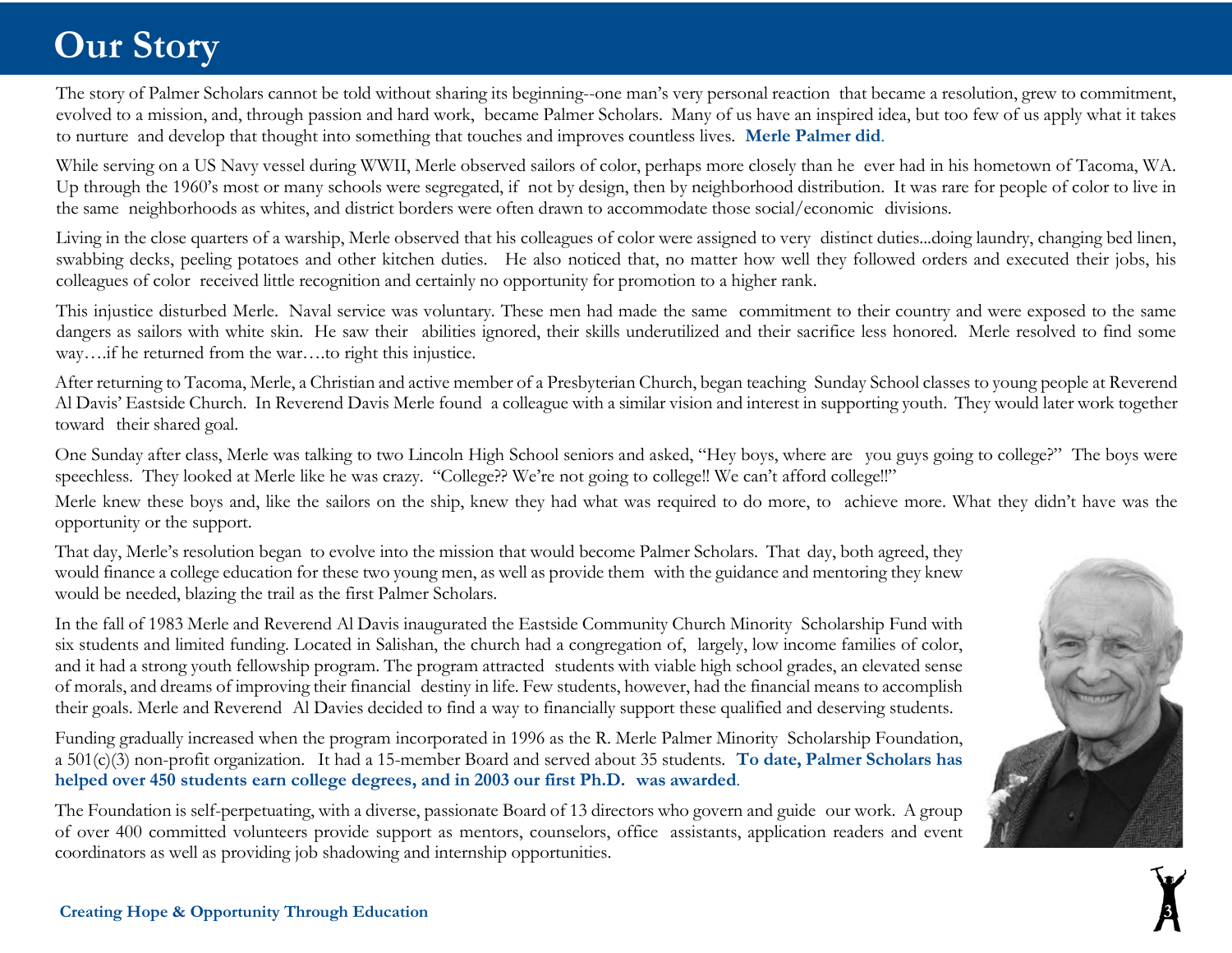# **Our Story**

The story of Palmer Scholars cannot be told without sharing its beginning--one man's very personal reaction that became a resolution, grew to commitment, evolved to a mission, and, through passion and hard work, became Palmer Scholars. Many of us have an inspired idea, but too few of us apply what it takes to nurture and develop that thought into something that touches and improves countless lives. **Merle Palmer did**.

While serving on a US Navy vessel during WWII, Merle observed sailors of color, perhaps more closely than he ever had in his hometown of Tacoma, WA. Up through the 1960's most or many schools were segregated, if not by design, then by neighborhood distribution. It was rare for people of color to live in the same neighborhoods as whites, and district borders were often drawn to accommodate those social/economic divisions.

Living in the close quarters of a warship, Merle observed that his colleagues of color were assigned to very distinct duties...doing laundry, changing bed linen, swabbing decks, peeling potatoes and other kitchen duties. He also noticed that, no matter how well they followed orders and executed their jobs, his colleagues of color received little recognition and certainly no opportunity for promotion to a higher rank.

This injustice disturbed Merle. Naval service was voluntary. These men had made the same commitment to their country and were exposed to the same dangers as sailors with white skin. He saw their abilities ignored, their skills underutilized and their sacrifice less honored. Merle resolved to find some way….if he returned from the war….to right this injustice.

After returning to Tacoma, Merle, a Christian and active member of a Presbyterian Church, began teaching Sunday School classes to young people at Reverend Al Davis' Eastside Church. In Reverend Davis Merle found a colleague with a similar vision and interest in supporting youth. They would later work together toward their shared goal.

One Sunday after class, Merle was talking to two Lincoln High School seniors and asked, "Hey boys, where are you guys going to college?" The boys were speechless. They looked at Merle like he was crazy. "College?? We're not going to college!! We can't afford college!!"

Merle knew these boys and, like the sailors on the ship, knew they had what was required to do more, to achieve more. What they didn't have was the opportunity or the support.

That day, Merle's resolution began to evolve into the mission that would become Palmer Scholars. That day, both agreed, they would finance a college education for these two young men, as well as provide them with the guidance and mentoring they knew would be needed, blazing the trail as the first Palmer Scholars.

In the fall of 1983 Merle and Reverend Al Davis inaugurated the Eastside Community Church Minority Scholarship Fund with six students and limited funding. Located in Salishan, the church had a congregation of, largely, low income families of color, and it had a strong youth fellowship program. The program attracted students with viable high school grades, an elevated sense of morals, and dreams of improving their financial destiny in life. Few students, however, had the financial means to accomplish their goals. Merle and Reverend Al Davies decided to find a way to financially support these qualified and deserving students.

Funding gradually increased when the program incorporated in 1996 as the R. Merle Palmer Minority Scholarship Foundation, a 501(c)(3) non-profit organization. It had a 15-member Board and served about 35 students. **To date, Palmer Scholars has helped over 450 students earn college degrees, and in 2003 our first Ph.D. was awarded**.

The Foundation is self-perpetuating, with a diverse, passionate Board of 13 directors who govern and guide our work. A group of over 400 committed volunteers provide support as mentors, counselors, office assistants, application readers and event coordinators as well as providing job shadowing and internship opportunities.

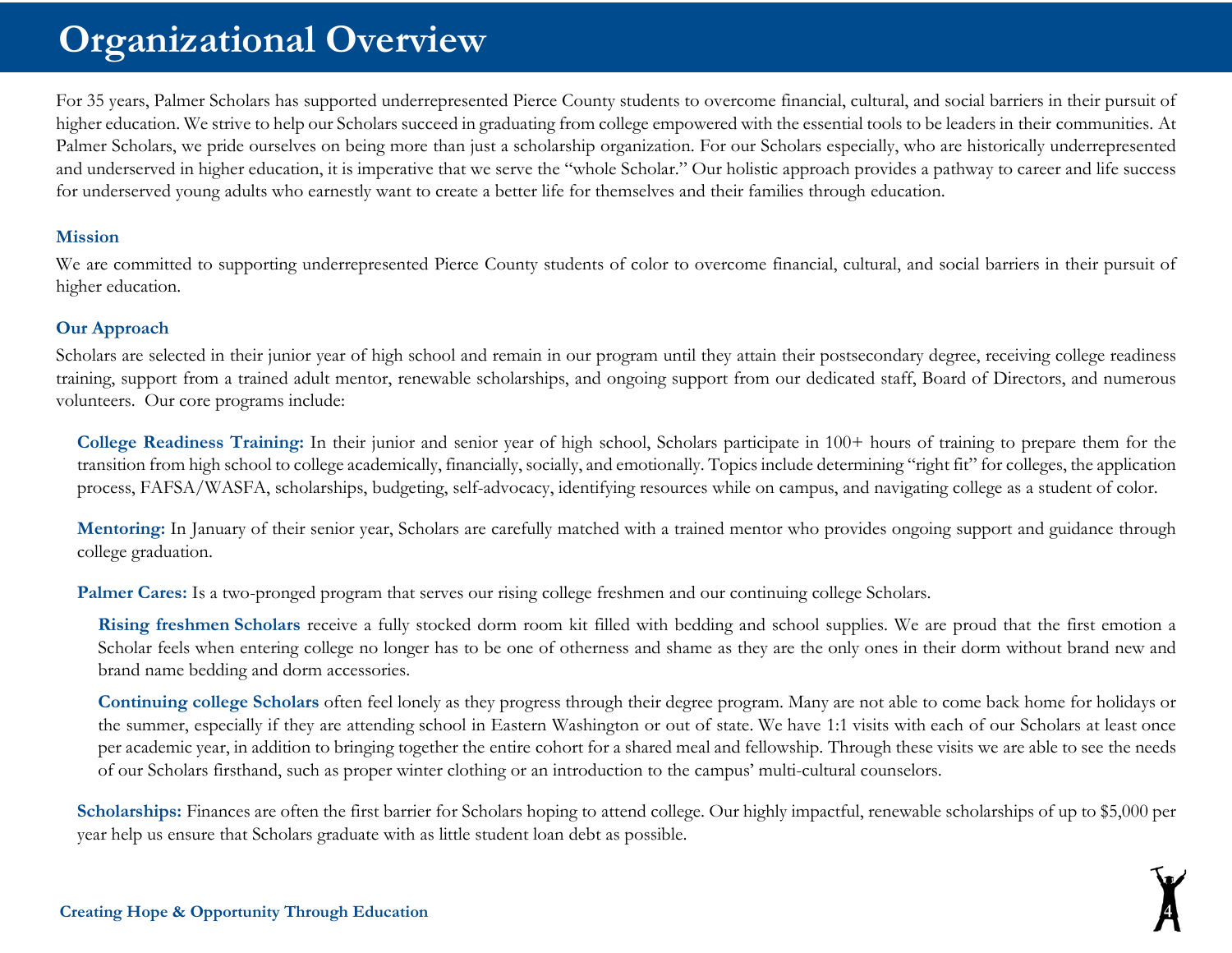# **Organizational Overview**

For 35 years, Palmer Scholars has supported underrepresented Pierce County students to overcome financial, cultural, and social barriers in their pursuit of higher education. We strive to help our Scholars succeed in graduating from college empowered with the essential tools to be leaders in their communities. At Palmer Scholars, we pride ourselves on being more than just a scholarship organization. For our Scholars especially, who are historically underrepresented and underserved in higher education, it is imperative that we serve the "whole Scholar." Our holistic approach provides a pathway to career and life success for underserved young adults who earnestly want to create a better life for themselves and their families through education.

#### **Mission**

We are committed to supporting underrepresented Pierce County students of color to overcome financial, cultural, and social barriers in their pursuit of higher education.

#### **Our Approach**

Scholars are selected in their junior year of high school and remain in our program until they attain their postsecondary degree, receiving college readiness training, support from a trained adult mentor, renewable scholarships, and ongoing support from our dedicated staff, Board of Directors, and numerous volunteers. Our core programs include:

**College Readiness Training:** In their junior and senior year of high school, Scholars participate in 100+ hours of training to prepare them for the transition from high school to college academically, financially, socially, and emotionally. Topics include determining "right fit" for colleges, the application process, FAFSA/WASFA, scholarships, budgeting, self-advocacy, identifying resources while on campus, and navigating college as a student of color.

**Mentoring:** In January of their senior year, Scholars are carefully matched with a trained mentor who provides ongoing support and guidance through college graduation.

Palmer Cares: Is a two-pronged program that serves our rising college freshmen and our continuing college Scholars.

**Rising freshmen Scholars** receive a fully stocked dorm room kit filled with bedding and school supplies. We are proud that the first emotion a Scholar feels when entering college no longer has to be one of otherness and shame as they are the only ones in their dorm without brand new and brand name bedding and dorm accessories.

**Continuing college Scholars** often feel lonely as they progress through their degree program. Many are not able to come back home for holidays or the summer, especially if they are attending school in Eastern Washington or out of state. We have 1:1 visits with each of our Scholars at least once per academic year, in addition to bringing together the entire cohort for a shared meal and fellowship. Through these visits we are able to see the needs of our Scholars firsthand, such as proper winter clothing or an introduction to the campus' multi-cultural counselors.

**Scholarships:** Finances are often the first barrier for Scholars hoping to attend college. Our highly impactful, renewable scholarships of up to \$5,000 per year help us ensure that Scholars graduate with as little student loan debt as possible.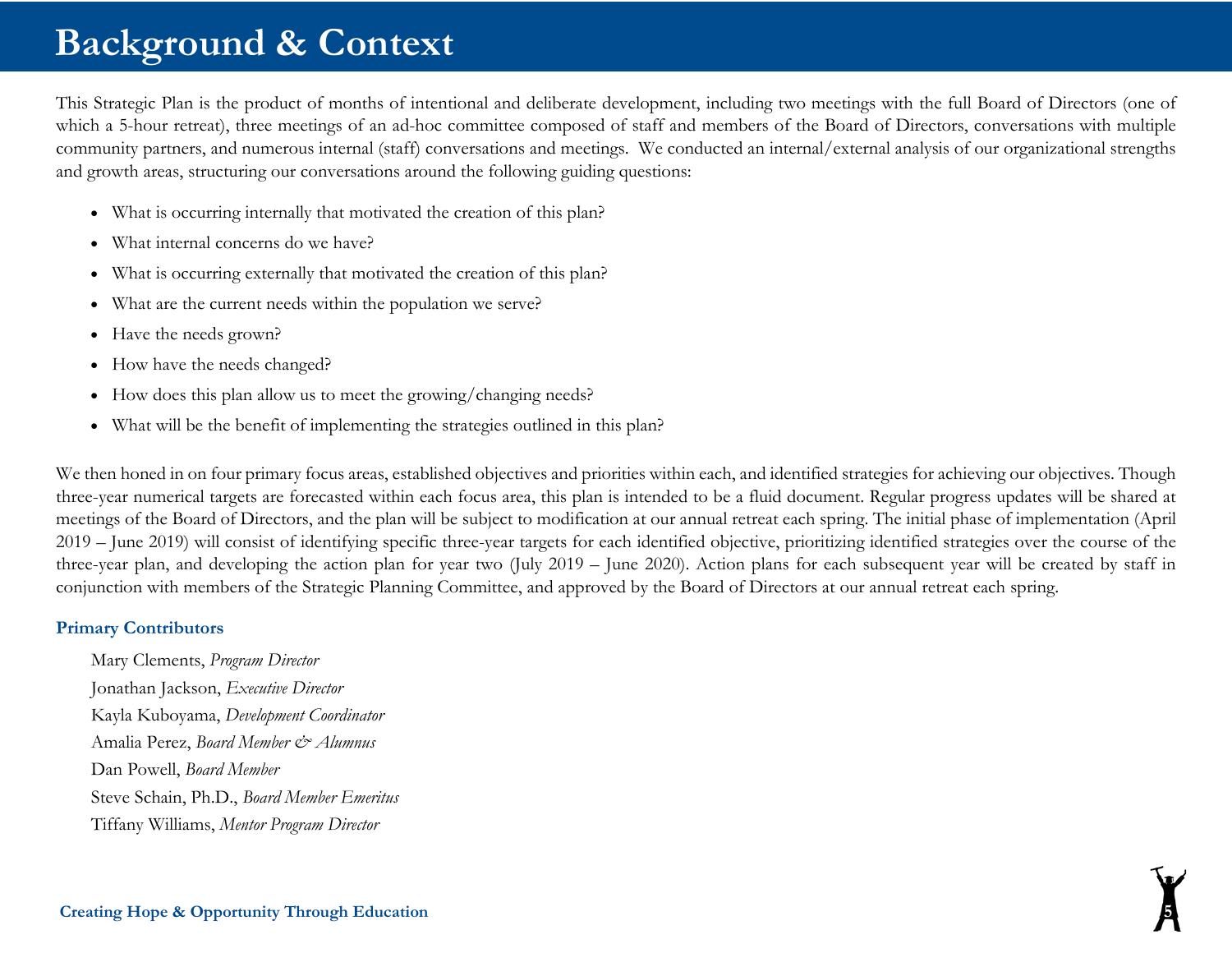# **Background & Context**

This Strategic Plan is the product of months of intentional and deliberate development, including two meetings with the full Board of Directors (one of which a 5-hour retreat), three meetings of an ad-hoc committee composed of staff and members of the Board of Directors, conversations with multiple community partners, and numerous internal (staff) conversations and meetings. We conducted an internal/external analysis of our organizational strengths and growth areas, structuring our conversations around the following guiding questions:

- What is occurring internally that motivated the creation of this plan?
- What internal concerns do we have?
- What is occurring externally that motivated the creation of this plan?
- What are the current needs within the population we serve?
- Have the needs grown?
- How have the needs changed?
- How does this plan allow us to meet the growing/changing needs?
- What will be the benefit of implementing the strategies outlined in this plan?

We then honed in on four primary focus areas, established objectives and priorities within each, and identified strategies for achieving our objectives. Though three-year numerical targets are forecasted within each focus area, this plan is intended to be a fluid document. Regular progress updates will be shared at meetings of the Board of Directors, and the plan will be subject to modification at our annual retreat each spring. The initial phase of implementation (April 2019 – June 2019) will consist of identifying specific three-year targets for each identified objective, prioritizing identified strategies over the course of the three-year plan, and developing the action plan for year two (July 2019 – June 2020). Action plans for each subsequent year will be created by staff in conjunction with members of the Strategic Planning Committee, and approved by the Board of Directors at our annual retreat each spring.

#### **Primary Contributors**

Mary Clements, *Program Director* Jonathan Jackson, *Executive Director* Kayla Kuboyama, *Development Coordinator* Amalia Perez, *Board Member & Alumnus* Dan Powell, *Board Member* Steve Schain, Ph.D., *Board Member Emeritus* Tiffany Williams, *Mentor Program Director*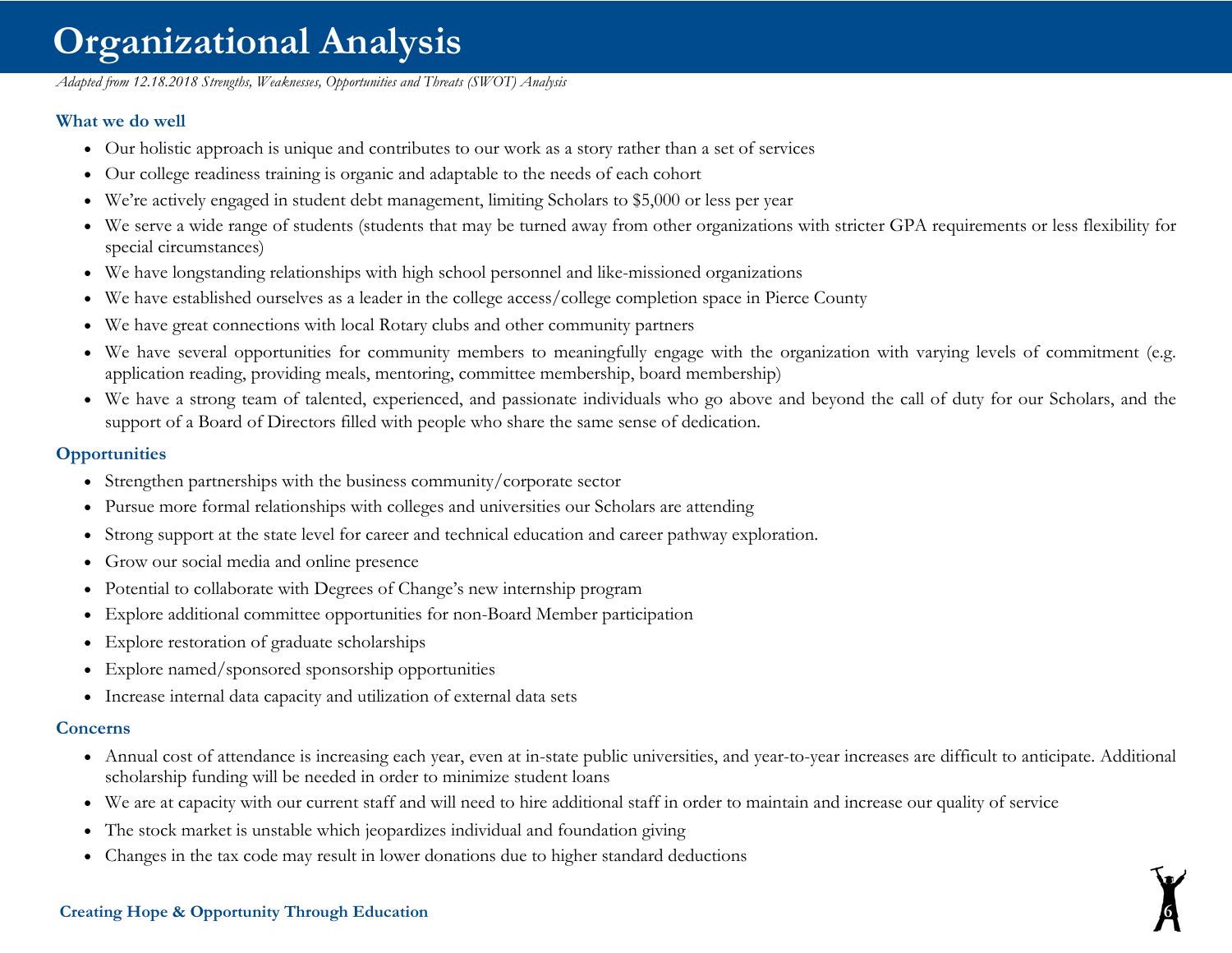# **Organizational Analysis**

*Adapted from 12.18.2018 Strengths, Weaknesses, Opportunities and Threats (SWOT) Analysis* 

#### **What we do well**

- Our holistic approach is unique and contributes to our work as a story rather than a set of services
- Our college readiness training is organic and adaptable to the needs of each cohort
- We're actively engaged in student debt management, limiting Scholars to \$5,000 or less per year
- We serve a wide range of students (students that may be turned away from other organizations with stricter GPA requirements or less flexibility for special circumstances)
- We have longstanding relationships with high school personnel and like-missioned organizations
- We have established ourselves as a leader in the college access/college completion space in Pierce County
- We have great connections with local Rotary clubs and other community partners
- We have several opportunities for community members to meaningfully engage with the organization with varying levels of commitment (e.g. application reading, providing meals, mentoring, committee membership, board membership)
- We have a strong team of talented, experienced, and passionate individuals who go above and beyond the call of duty for our Scholars, and the support of a Board of Directors filled with people who share the same sense of dedication.

#### **Opportunities**

- Strengthen partnerships with the business community/corporate sector
- Pursue more formal relationships with colleges and universities our Scholars are attending
- Strong support at the state level for career and technical education and career pathway exploration.
- Grow our social media and online presence
- Potential to collaborate with Degrees of Change's new internship program
- Explore additional committee opportunities for non-Board Member participation
- Explore restoration of graduate scholarships
- Explore named/sponsored sponsorship opportunities
- Increase internal data capacity and utilization of external data sets

#### **Concerns**

- Annual cost of attendance is increasing each year, even at in-state public universities, and year-to-year increases are difficult to anticipate. Additional scholarship funding will be needed in order to minimize student loans
- We are at capacity with our current staff and will need to hire additional staff in order to maintain and increase our quality of service
- The stock market is unstable which jeopardizes individual and foundation giving
- Changes in the tax code may result in lower donations due to higher standard deductions

#### **Creating Hope & Opportunity Through Education 6**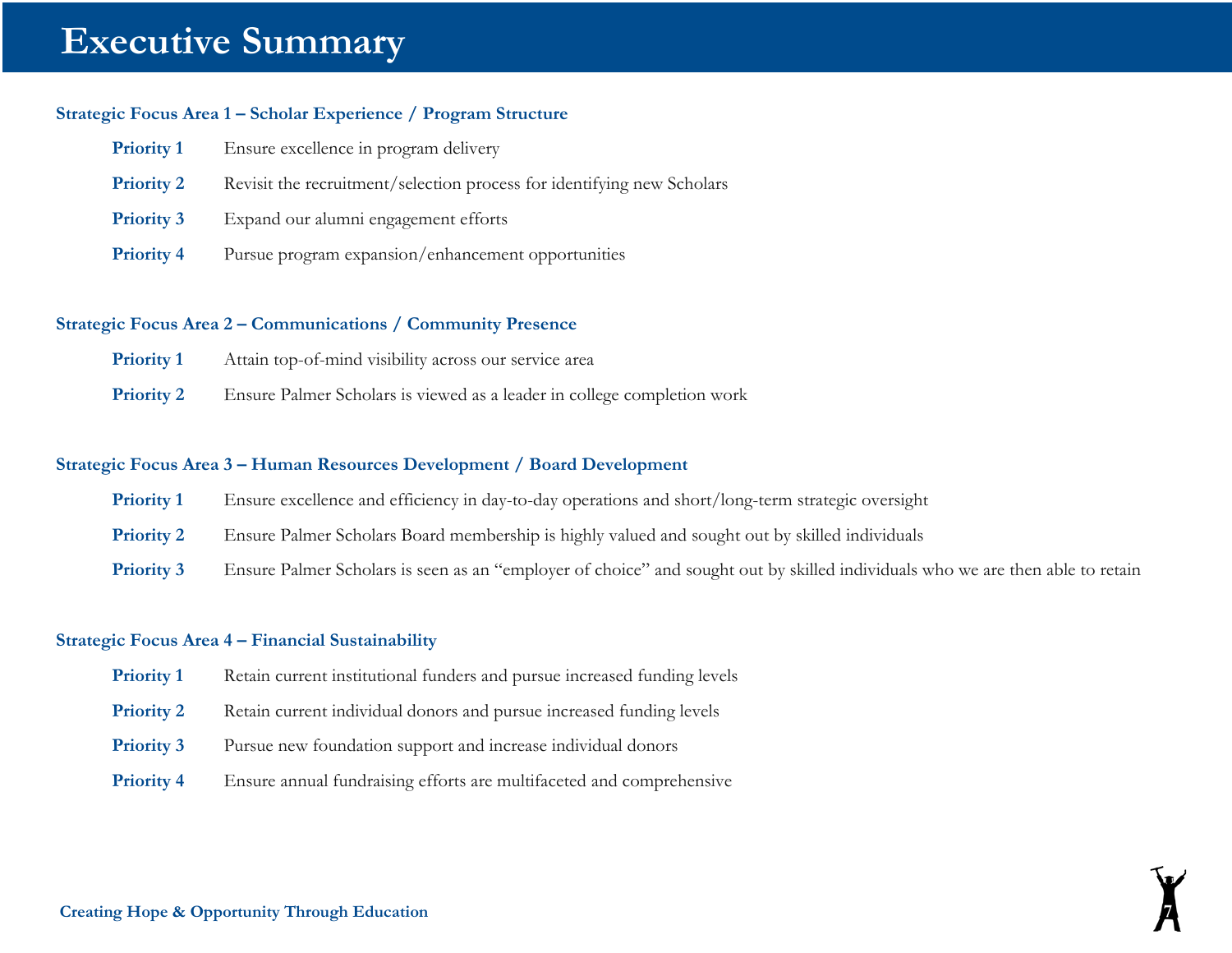# **Executive Summary**

#### **Strategic Focus Area 1 – Scholar Experience / Program Structure**

| <b>Priority 1</b> | Ensure excellence in program delivery                                  |
|-------------------|------------------------------------------------------------------------|
| <b>Priority 2</b> | Revisit the recruitment/selection process for identifying new Scholars |
| <b>Priority 3</b> | Expand our alumni engagement efforts                                   |
| <b>Priority 4</b> | Pursue program expansion/enhancement opportunities                     |

#### **Strategic Focus Area 2 – Communications / Community Presence**

| <b>Priority 1</b> | Attain top-of-mind visibility across our service area |  |
|-------------------|-------------------------------------------------------|--|
|                   |                                                       |  |
|                   |                                                       |  |

**Priority 2** Ensure Palmer Scholars is viewed as a leader in college completion work

#### **Strategic Focus Area 3 – Human Resources Development / Board Development**

- **Priority 1** Ensure excellence and efficiency in day-to-day operations and short/long-term strategic oversight
- **Priority 2** Ensure Palmer Scholars Board membership is highly valued and sought out by skilled individuals
- **Priority 3** Ensure Palmer Scholars is seen as an "employer of choice" and sought out by skilled individuals who we are then able to retain

#### **Strategic Focus Area 4 – Financial Sustainability**

- **Priority 1** Retain current institutional funders and pursue increased funding levels
- **Priority 2** Retain current individual donors and pursue increased funding levels
- **Priority 3** Pursue new foundation support and increase individual donors
- **Priority 4** Ensure annual fundraising efforts are multifaceted and comprehensive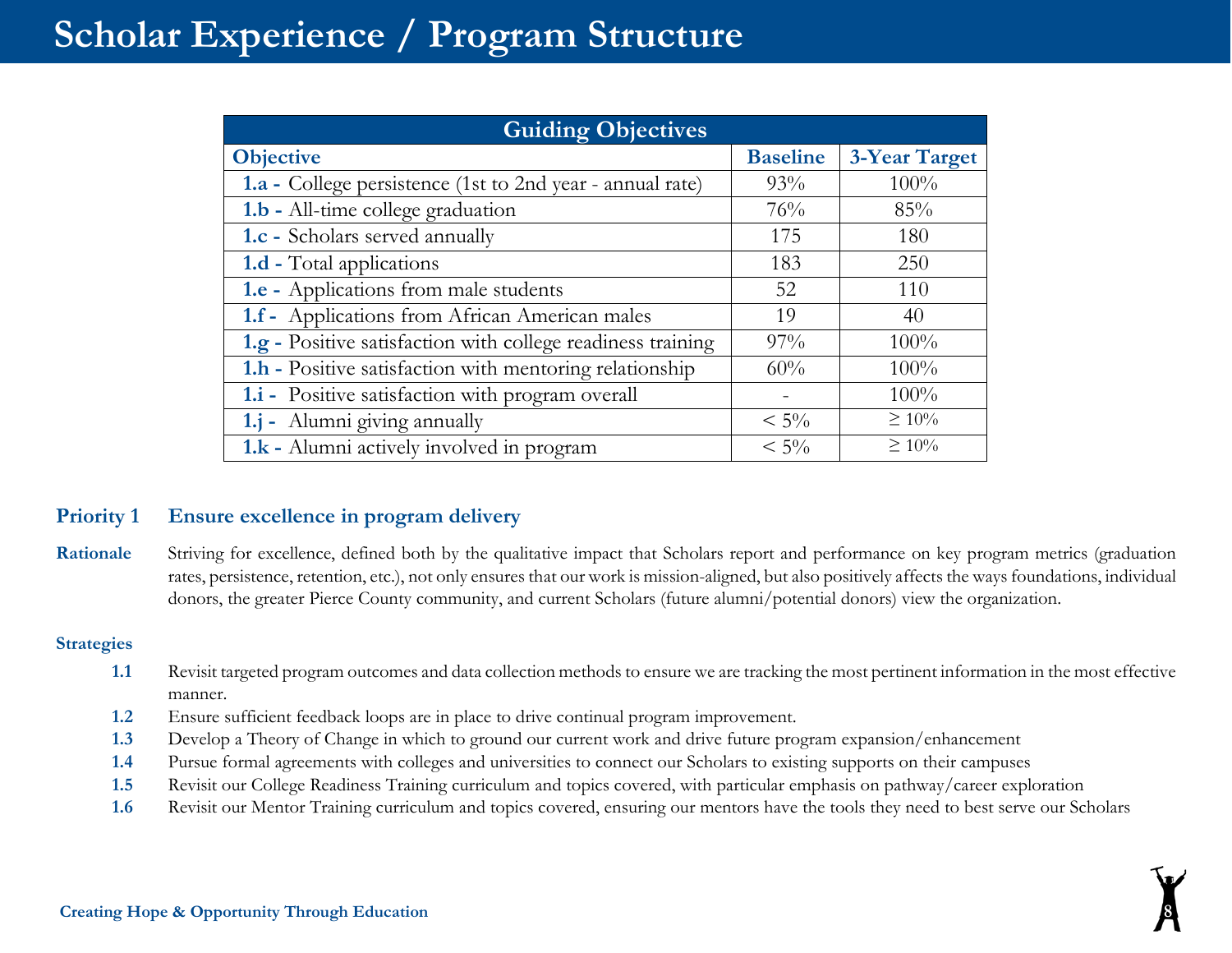| <b>Guiding Objectives</b>                                   |                 |               |
|-------------------------------------------------------------|-----------------|---------------|
| <b>Objective</b>                                            | <b>Baseline</b> | 3-Year Target |
| 1.a - College persistence (1st to 2nd year - annual rate)   | 93%             | 100%          |
| 1.b - All-time college graduation                           | 76%             | 85%           |
| 1.c - Scholars served annually                              | 175             | 180           |
| <b>1.d</b> - Total applications                             | 183             | 250           |
| 1.e - Applications from male students                       | 52              | 110           |
| 1.f - Applications from African American males              | 19              | 40            |
| 1.g - Positive satisfaction with college readiness training | $97\%$          | 100%          |
| 1.h - Positive satisfaction with mentoring relationship     | 60%             | 100%          |
| 1.i - Positive satisfaction with program overall            |                 | 100%          |
| 1.j - Alumni giving annually                                | $< 5\%$         | $\geq 10\%$   |
| 1.k - Alumni actively involved in program                   | $< 5\%$         | $\geq 10\%$   |

## **Priority 1 Ensure excellence in program delivery**

Rationale Striving for excellence, defined both by the qualitative impact that Scholars report and performance on key program metrics (graduation rates, persistence, retention, etc.), not only ensures that our work is mission-aligned, but also positively affects the ways foundations, individual donors, the greater Pierce County community, and current Scholars (future alumni/potential donors) view the organization.

- **1.1** Revisit targeted program outcomes and data collection methods to ensure we are tracking the most pertinent information in the most effective manner.
- **1.2** Ensure sufficient feedback loops are in place to drive continual program improvement.
- **1.3** Develop a Theory of Change in which to ground our current work and drive future program expansion/enhancement
- **1.4** Pursue formal agreements with colleges and universities to connect our Scholars to existing supports on their campuses
- **1.5** Revisit our College Readiness Training curriculum and topics covered, with particular emphasis on pathway/career exploration
- **1.6** Revisit our Mentor Training curriculum and topics covered, ensuring our mentors have the tools they need to best serve our Scholars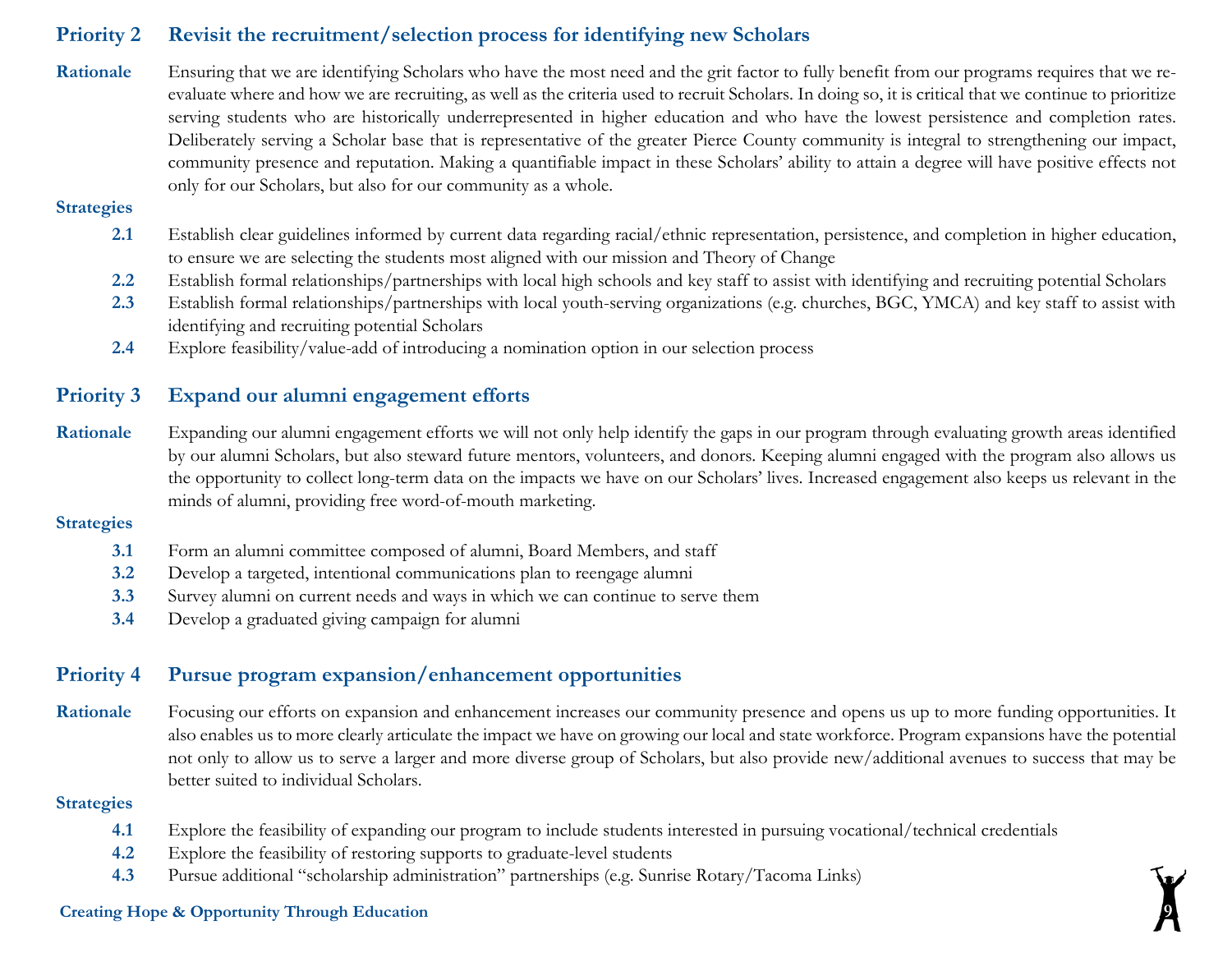### **Priority 2 Revisit the recruitment/selection process for identifying new Scholars**

**Rationale** Ensuring that we are identifying Scholars who have the most need and the grit factor to fully benefit from our programs requires that we reevaluate where and how we are recruiting, as well as the criteria used to recruit Scholars. In doing so, it is critical that we continue to prioritize serving students who are historically underrepresented in higher education and who have the lowest persistence and completion rates. Deliberately serving a Scholar base that is representative of the greater Pierce County community is integral to strengthening our impact, community presence and reputation. Making a quantifiable impact in these Scholars' ability to attain a degree will have positive effects not only for our Scholars, but also for our community as a whole.

#### **Strategies**

- **2.1** Establish clear guidelines informed by current data regarding racial/ethnic representation, persistence, and completion in higher education, to ensure we are selecting the students most aligned with our mission and Theory of Change
- **2.2** Establish formal relationships/partnerships with local high schools and key staff to assist with identifying and recruiting potential Scholars
- **2.3** Establish formal relationships/partnerships with local youth-serving organizations (e.g. churches, BGC, YMCA) and key staff to assist with identifying and recruiting potential Scholars
- **2.4** Explore feasibility/value-add of introducing a nomination option in our selection process

### **Priority 3 Expand our alumni engagement efforts**

Rationale Expanding our alumni engagement efforts we will not only help identify the gaps in our program through evaluating growth areas identified by our alumni Scholars, but also steward future mentors, volunteers, and donors. Keeping alumni engaged with the program also allows us the opportunity to collect long-term data on the impacts we have on our Scholars' lives. Increased engagement also keeps us relevant in the minds of alumni, providing free word-of-mouth marketing.

#### **Strategies**

- **3.1** Form an alumni committee composed of alumni, Board Members, and staff
- **3.2** Develop a targeted, intentional communications plan to reengage alumni
- **3.3** Survey alumni on current needs and ways in which we can continue to serve them
- **3.4** Develop a graduated giving campaign for alumni

### **Priority 4 Pursue program expansion/enhancement opportunities**

Rationale Focusing our efforts on expansion and enhancement increases our community presence and opens us up to more funding opportunities. It also enables us to more clearly articulate the impact we have on growing our local and state workforce. Program expansions have the potential not only to allow us to serve a larger and more diverse group of Scholars, but also provide new/additional avenues to success that may be better suited to individual Scholars.

#### **Strategies**

- **4.1** Explore the feasibility of expanding our program to include students interested in pursuing vocational/technical credentials
- **4.2** Explore the feasibility of restoring supports to graduate-level students
- **4.3** Pursue additional "scholarship administration" partnerships (e.g. Sunrise Rotary/Tacoma Links)

#### **Creating Hope & Opportunity Through Education 9**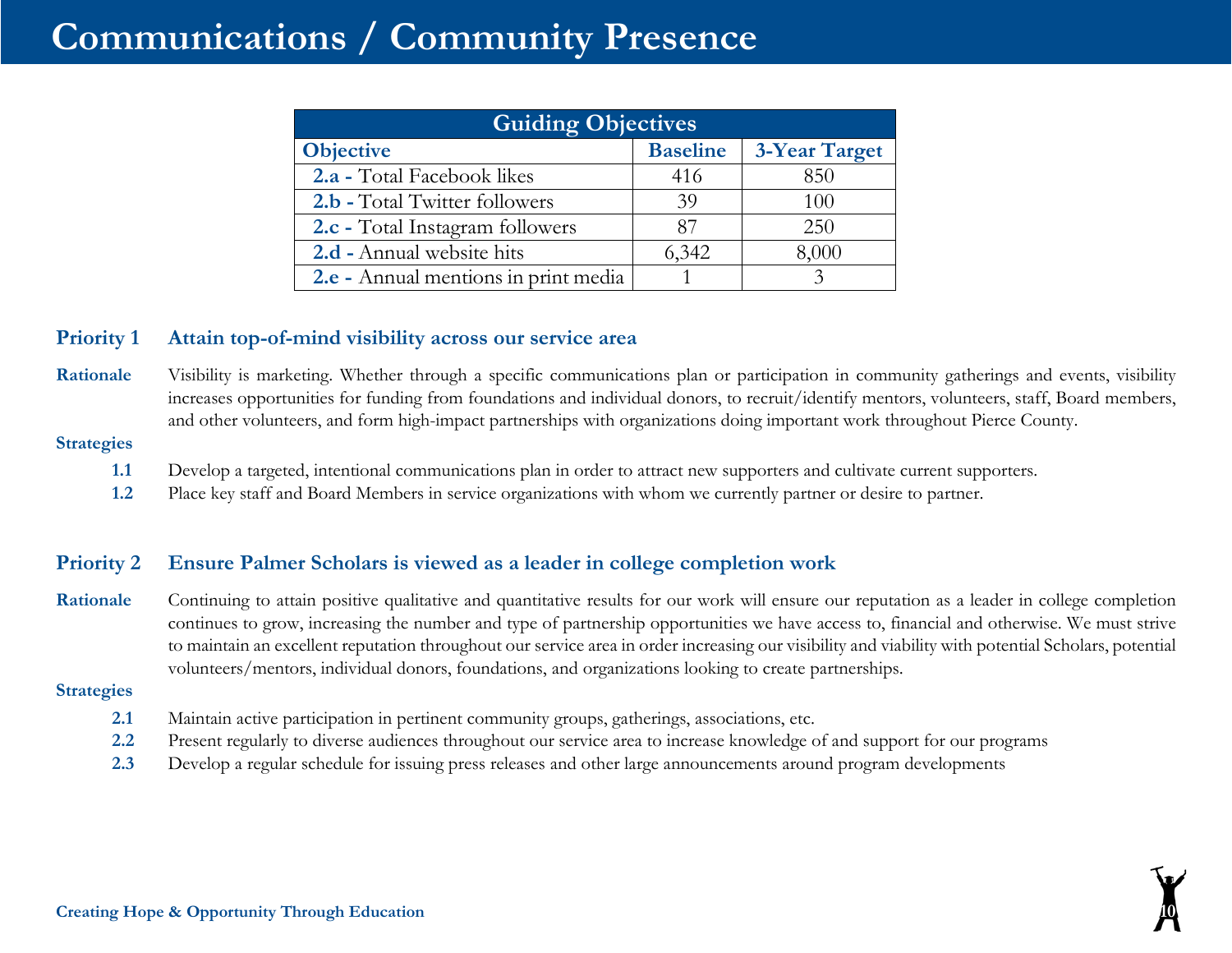# **Communications / Community Presence**

| <b>Guiding Objectives</b>            |                 |                      |  |
|--------------------------------------|-----------------|----------------------|--|
| <b>Objective</b>                     | <b>Baseline</b> | <b>3-Year Target</b> |  |
| 2.a - Total Facebook likes           | 416             | 850                  |  |
| 2.b - Total Twitter followers        | 39              | 100                  |  |
| 2.c - Total Instagram followers      | 87              | 250                  |  |
| 2.d - Annual website hits            | 6,342           | 8,000                |  |
| 2.e - Annual mentions in print media |                 |                      |  |

### **Priority 1 Attain top-of-mind visibility across our service area**

**Rationale** Visibility is marketing. Whether through a specific communications plan or participation in community gatherings and events, visibility increases opportunities for funding from foundations and individual donors, to recruit/identify mentors, volunteers, staff, Board members, and other volunteers, and form high-impact partnerships with organizations doing important work throughout Pierce County.

#### **Strategies**

- **1.1** Develop a targeted, intentional communications plan in order to attract new supporters and cultivate current supporters.
- **1.2** Place key staff and Board Members in service organizations with whom we currently partner or desire to partner.

## **Priority 2 Ensure Palmer Scholars is viewed as a leader in college completion work**

Rationale Continuing to attain positive qualitative and quantitative results for our work will ensure our reputation as a leader in college completion continues to grow, increasing the number and type of partnership opportunities we have access to, financial and otherwise. We must strive to maintain an excellent reputation throughout our service area in order increasing our visibility and viability with potential Scholars, potential volunteers/mentors, individual donors, foundations, and organizations looking to create partnerships.

- **2.1** Maintain active participation in pertinent community groups, gatherings, associations, etc.
- **2.2** Present regularly to diverse audiences throughout our service area to increase knowledge of and support for our programs
- **2.3** Develop a regular schedule for issuing press releases and other large announcements around program developments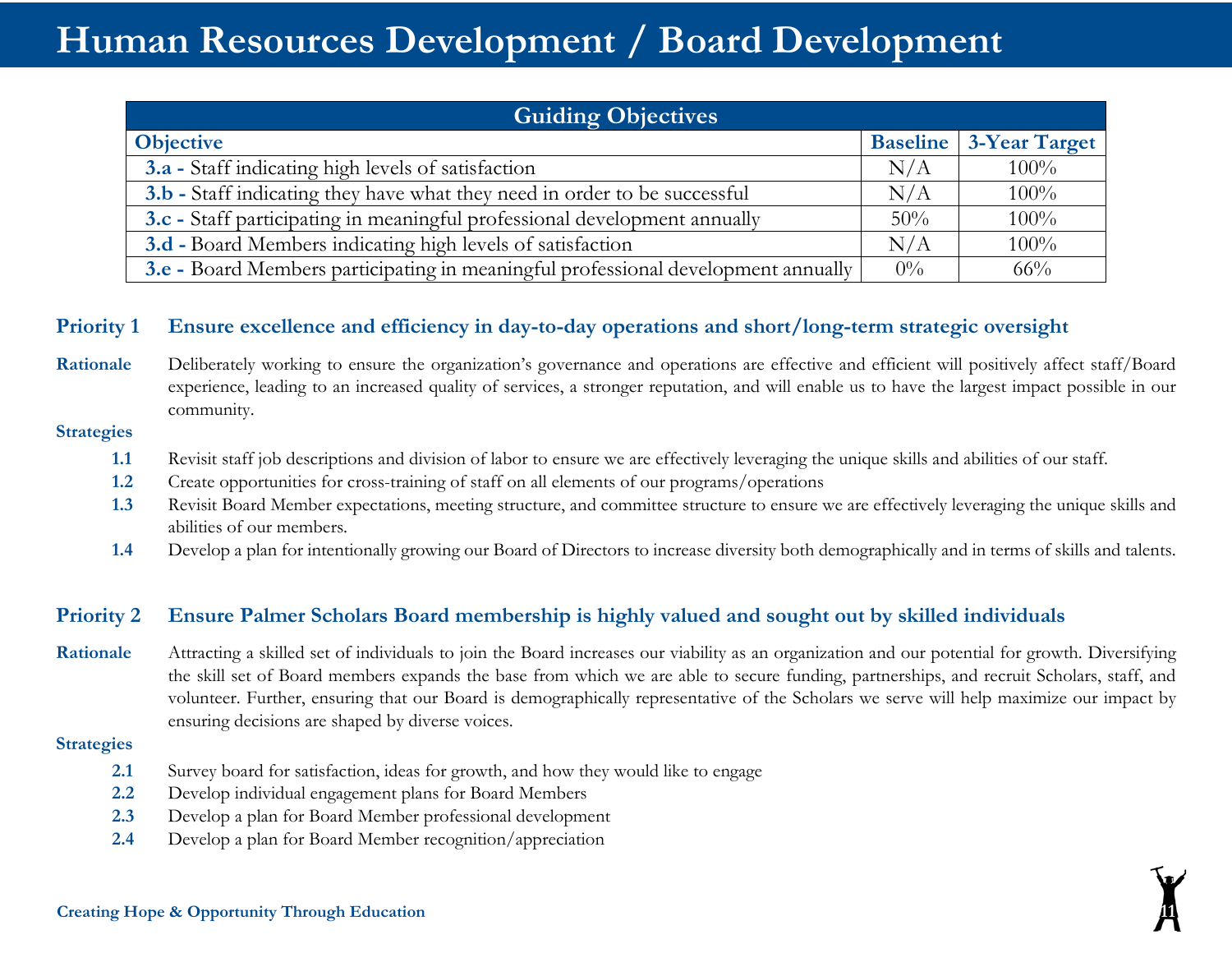# **Human Resources Development / Board Development**

| <b>Guiding Objectives</b>                                                         |       |                               |
|-----------------------------------------------------------------------------------|-------|-------------------------------|
| <b>Objective</b>                                                                  |       | <b>Baseline</b> 3-Year Target |
| 3.a - Staff indicating high levels of satisfaction                                | N/A   | $100\%$                       |
| 3.b - Staff indicating they have what they need in order to be successful         | N/A   | $100\%$                       |
| 3.c - Staff participating in meaningful professional development annually         | 50%   | $100\%$                       |
| 3.d - Board Members indicating high levels of satisfaction                        | N/A   | $100\%$                       |
| 3.e - Board Members participating in meaningful professional development annually | $0\%$ | $66\%$                        |

### **Priority 1 Ensure excellence and efficiency in day-to-day operations and short/long-term strategic oversight**

Rationale Deliberately working to ensure the organization's governance and operations are effective and efficient will positively affect staff/Board experience, leading to an increased quality of services, a stronger reputation, and will enable us to have the largest impact possible in our community.

#### **Strategies**

- **1.1** Revisit staff job descriptions and division of labor to ensure we are effectively leveraging the unique skills and abilities of our staff.
- **1.2** Create opportunities for cross-training of staff on all elements of our programs/operations
- **1.3** Revisit Board Member expectations, meeting structure, and committee structure to ensure we are effectively leveraging the unique skills and abilities of our members.
- **1.4** Develop a plan for intentionally growing our Board of Directors to increase diversity both demographically and in terms of skills and talents.

### **Priority 2 Ensure Palmer Scholars Board membership is highly valued and sought out by skilled individuals**

**Rationale** Attracting a skilled set of individuals to join the Board increases our viability as an organization and our potential for growth. Diversifying the skill set of Board members expands the base from which we are able to secure funding, partnerships, and recruit Scholars, staff, and volunteer. Further, ensuring that our Board is demographically representative of the Scholars we serve will help maximize our impact by ensuring decisions are shaped by diverse voices.

- **2.1** Survey board for satisfaction, ideas for growth, and how they would like to engage
- **2.2** Develop individual engagement plans for Board Members
- **2.3** Develop a plan for Board Member professional development
- **2.4** Develop a plan for Board Member recognition/appreciation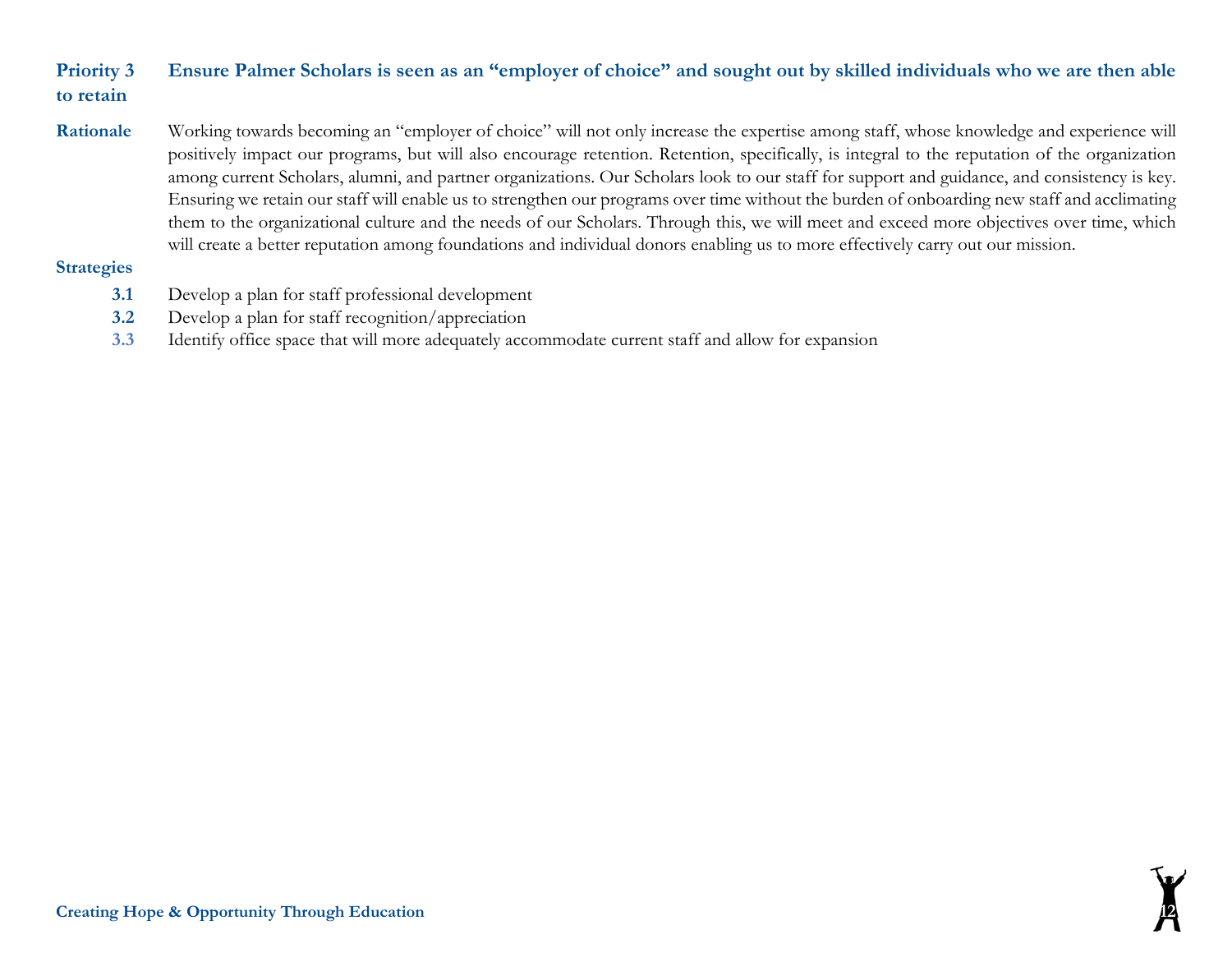# **Priority 3 Ensure Palmer Scholars is seen as an "employer of choice" and sought out by skilled individuals who we are then able to retain**

**Rationale** Working towards becoming an "employer of choice" will not only increase the expertise among staff, whose knowledge and experience will positively impact our programs, but will also encourage retention. Retention, specifically, is integral to the reputation of the organization among current Scholars, alumni, and partner organizations. Our Scholars look to our staff for support and guidance, and consistency is key. Ensuring we retain our staff will enable us to strengthen our programs over time without the burden of onboarding new staff and acclimating them to the organizational culture and the needs of our Scholars. Through this, we will meet and exceed more objectives over time, which will create a better reputation among foundations and individual donors enabling us to more effectively carry out our mission.

- **3.1** Develop a plan for staff professional development
- **3.2** Develop a plan for staff recognition/appreciation
- **3.3** Identify office space that will more adequately accommodate current staff and allow for expansion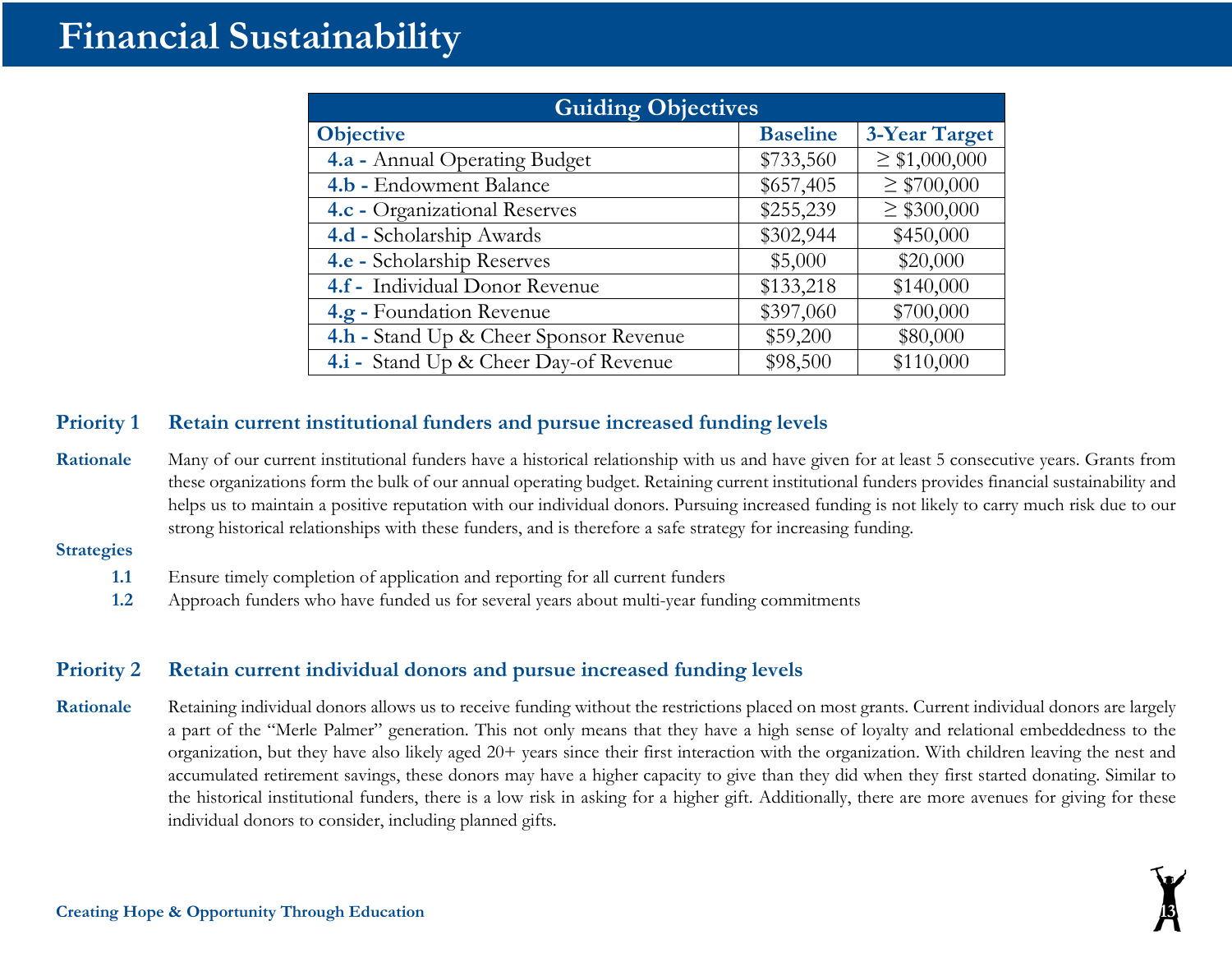# **Financial Sustainability**

| <b>Guiding Objectives</b>              |                 |                      |
|----------------------------------------|-----------------|----------------------|
| <b>Objective</b>                       | <b>Baseline</b> | <b>3-Year Target</b> |
| 4.a - Annual Operating Budget          | \$733,560       | $\geq$ \$1,000,000   |
| 4.b - Endowment Balance                | \$657,405       | $\geq$ \$700,000     |
| 4.c - Organizational Reserves          | \$255,239       | $\geq$ \$300,000     |
| 4.d - Scholarship Awards               | \$302,944       | \$450,000            |
| 4.e - Scholarship Reserves             | \$5,000         | \$20,000             |
| 4.f - Individual Donor Revenue         | \$133,218       | \$140,000            |
| 4.g - Foundation Revenue               | \$397,060       | \$700,000            |
| 4.h - Stand Up & Cheer Sponsor Revenue | \$59,200        | \$80,000             |
| 4.i - Stand Up & Cheer Day-of Revenue  | \$98,500        | \$110,000            |

#### **Priority 1 Retain current institutional funders and pursue increased funding levels**

Rationale Many of our current institutional funders have a historical relationship with us and have given for at least 5 consecutive years. Grants from these organizations form the bulk of our annual operating budget. Retaining current institutional funders provides financial sustainability and helps us to maintain a positive reputation with our individual donors. Pursuing increased funding is not likely to carry much risk due to our strong historical relationships with these funders, and is therefore a safe strategy for increasing funding.

#### **Strategies**

- **1.1** Ensure timely completion of application and reporting for all current funders
- **1.2** Approach funders who have funded us for several years about multi-year funding commitments

## **Priority 2 Retain current individual donors and pursue increased funding levels**

Rationale Retaining individual donors allows us to receive funding without the restrictions placed on most grants. Current individual donors are largely a part of the "Merle Palmer" generation. This not only means that they have a high sense of loyalty and relational embeddedness to the organization, but they have also likely aged 20+ years since their first interaction with the organization. With children leaving the nest and accumulated retirement savings, these donors may have a higher capacity to give than they did when they first started donating. Similar to the historical institutional funders, there is a low risk in asking for a higher gift. Additionally, there are more avenues for giving for these individual donors to consider, including planned gifts.